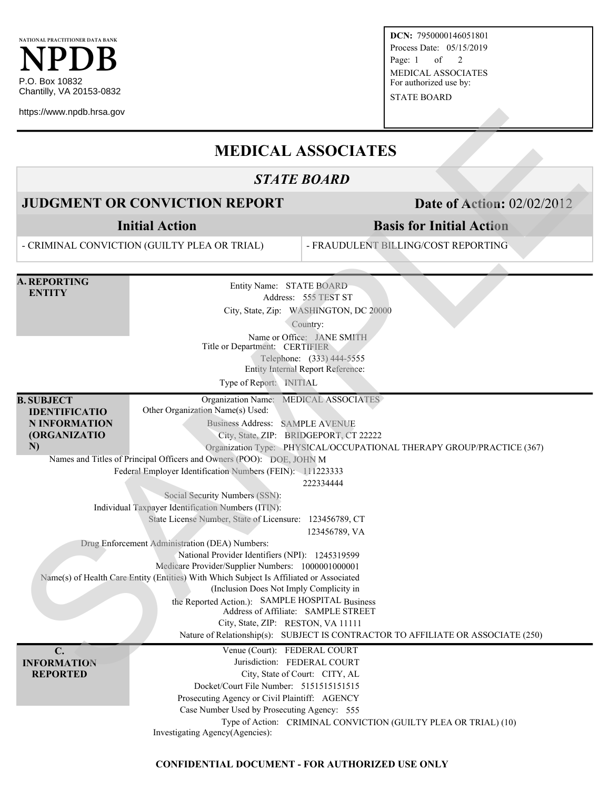

**DCN:** 7950000146051801 Process Date: 05/15/2019 Page: 1 of 2 MEDICAL ASSOCIATES For authorized use by:

STATE BOARD

## **MEDICAL ASSOCIATES**

#### *STATE BOARD*

### **JUDGMENT OR CONVICTION REPORT** Date of Action: 02/02/2012

# **Basis for Initial Action**

| https://www.npdb.hrsa.gov                                                               |                                                                                                                                                                                                                                                                                                                                                                                                                                                                                                                                                                                                                                                                                                                                                                                                                                                                                |                                                                                                                                                                                         |  |  |  |  |
|-----------------------------------------------------------------------------------------|--------------------------------------------------------------------------------------------------------------------------------------------------------------------------------------------------------------------------------------------------------------------------------------------------------------------------------------------------------------------------------------------------------------------------------------------------------------------------------------------------------------------------------------------------------------------------------------------------------------------------------------------------------------------------------------------------------------------------------------------------------------------------------------------------------------------------------------------------------------------------------|-----------------------------------------------------------------------------------------------------------------------------------------------------------------------------------------|--|--|--|--|
| <b>MEDICAL ASSOCIATES</b>                                                               |                                                                                                                                                                                                                                                                                                                                                                                                                                                                                                                                                                                                                                                                                                                                                                                                                                                                                |                                                                                                                                                                                         |  |  |  |  |
| <b>STATE BOARD</b>                                                                      |                                                                                                                                                                                                                                                                                                                                                                                                                                                                                                                                                                                                                                                                                                                                                                                                                                                                                |                                                                                                                                                                                         |  |  |  |  |
| <b>JUDGMENT OR CONVICTION REPORT</b>                                                    |                                                                                                                                                                                                                                                                                                                                                                                                                                                                                                                                                                                                                                                                                                                                                                                                                                                                                | <b>Date of Action: 02/02/2012</b>                                                                                                                                                       |  |  |  |  |
| <b>Initial Action</b>                                                                   |                                                                                                                                                                                                                                                                                                                                                                                                                                                                                                                                                                                                                                                                                                                                                                                                                                                                                | <b>Basis for Initial Action</b>                                                                                                                                                         |  |  |  |  |
| - CRIMINAL CONVICTION (GUILTY PLEA OR TRIAL)                                            |                                                                                                                                                                                                                                                                                                                                                                                                                                                                                                                                                                                                                                                                                                                                                                                                                                                                                | - FRAUDULENT BILLING/COST REPORTING                                                                                                                                                     |  |  |  |  |
| <b>A. REPORTING</b><br><b>ENTITY</b>                                                    | Entity Name: STATE BOARD<br>Title or Department: CERTIFIER<br>Type of Report: INITIAL                                                                                                                                                                                                                                                                                                                                                                                                                                                                                                                                                                                                                                                                                                                                                                                          | Address: 555 TEST ST<br>City, State, Zip: WASHINGTON, DC 20000<br>Country:<br>Name or Office: JANE SMITH<br>Telephone: (333) 444-5555<br><b>Entity Internal Report Reference:</b>       |  |  |  |  |
| <b>B. SUBJECT</b><br><b>IDENTIFICATIO</b><br><b>N INFORMATION</b><br>(ORGANIZATIO<br>N) | Organization Name: MEDICAL ASSOCIATES<br>Other Organization Name(s) Used:<br>Business Address: SAMPLE AVENUE<br>City, State, ZIP: BRIDGEPORT, CT 22222<br>Names and Titles of Principal Officers and Owners (POO): DOE, JOHN M<br>Federal Employer Identification Numbers (FEIN): 111223333<br>Social Security Numbers (SSN):<br>Individual Taxpayer Identification Numbers (ITIN):<br>State License Number, State of Licensure: 123456789, CT<br>Drug Enforcement Administration (DEA) Numbers:<br>National Provider Identifiers (NPI): 1245319599<br>Medicare Provider/Supplier Numbers: 1000001000001<br>Name(s) of Health Care Entity (Entities) With Which Subject Is Affiliated or Associated<br>(Inclusion Does Not Imply Complicity in<br>the Reported Action.): SAMPLE HOSPITAL Business<br>Address of Affiliate: SAMPLE STREET<br>City, State, ZIP: RESTON, VA 11111 | Organization Type: PHYSICAL/OCCUPATIONAL THERAPY GROUP/PRACTICE (367)<br>222334444<br>123456789, VA<br>Nature of Relationship(s): SUBJECT IS CONTRACTOR TO AFFILIATE OR ASSOCIATE (250) |  |  |  |  |
| C.<br><b>INFORMATION</b><br><b>REPORTED</b>                                             | Venue (Court): FEDERAL COURT<br>Jurisdiction: FEDERAL COURT<br>Docket/Court File Number: 515151515151515<br>Prosecuting Agency or Civil Plaintiff: AGENCY<br>Case Number Used by Prosecuting Agency: 555<br>Investigating Agency(Agencies):                                                                                                                                                                                                                                                                                                                                                                                                                                                                                                                                                                                                                                    | City, State of Court: CITY, AL<br>Type of Action: CRIMINAL CONVICTION (GUILTY PLEA OR TRIAL) (10)                                                                                       |  |  |  |  |

#### **CONFIDENTIAL DOCUMENT - FOR AUTHORIZED USE ONLY**